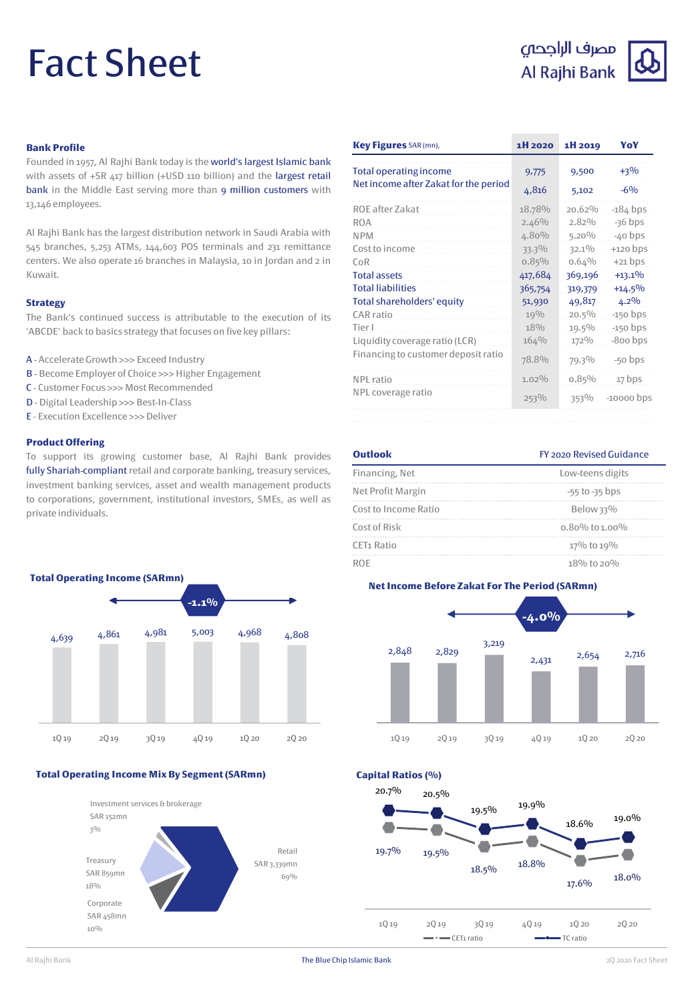# Fact Sheet

## مصرف الراجحى Al Rajhi Bank



#### **Bank Profile**

Founded in 1957, Al Rajhi Bank today is the world's largest Islamic bank with assets of +SR 417 billion (+USD 110 billion) and the largest retail bank in the Middle East serving more than 9 million customers with 13,146 employees.

Al Rajhi Bank has the largest distribution network in Saudi Arabia with 545 branches, 5,253 ATMs, 144,603 POS terminals and 231 remittance centers. We also operate 16 branches in Malaysia, 10 in Jordan and 2 in Kuwait.

#### **Strategy**

The Bank's continued success is attributable to the execution of its 'ABCDE' back to basics strategy that focuses on five key pillars:

- A AccelerateGrowth >>> Exceed Industry
- **B** Become Employer of Choice >>> Higher Engagement
- C Customer Focus >>> Most Recommended
- D Digital Leadership >>> Best-In-Class
- E Execution Excellence >>>Deliver

#### **Product Offering**

To support its growing customer base, Al Rajhi Bank provides fully Shariah-compliant retail and corporate banking, treasury services, investment banking services, asset and wealth management products to corporations, government, institutional investors, SMEs, as well as private individuals.



#### **Total Operating Income Mix By Segment (SARmn)**



| Key Figures SAR (mn),                 | 1H 2020  | 1H 2019  | YoY          |
|---------------------------------------|----------|----------|--------------|
| <b>Total operating income</b>         | 9,775    | 9,500    | $+3\%$       |
| Net income after Zakat for the period | 4,816    | 5,102    | $-6\%$       |
| ROE after Zakat                       | 18.78%   | 20.62%   | $-184$ bps   |
| <b>ROA</b>                            | $2.46\%$ | $2.82\%$ | $-36$ bps    |
| <b>NPM</b>                            | 4.80%    | $5.20\%$ | $-40$ bps    |
| Cost to income                        | 33.3%    | $32.1\%$ | $+120$ bps   |
| CoR                                   | 0.85%    | 0.64%    | $+21$ bps    |
| <b>Total assets</b>                   | 417,684  | 369,196  | $+13.1%$     |
| <b>Total liabilities</b>              | 365,754  | 319,379  | $+14.5%$     |
| Total shareholders' equity            | 51,930   | 49,817   | $4.2\%$      |
| CAR ratio                             | 19%      | $20.5\%$ | $-150$ bps   |
| Tier I                                | 18%      | 19.5%    | $-150$ bps   |
| Liquidity coverage ratio (LCR)        | 164%     | 172%     | -800 bps     |
| Financing to customer deposit ratio   | 78.8%    | 79.3%    | -50 bps      |
| NPL ratio                             | $1.02\%$ | 0.85%    | 17 bps       |
| NPL coverage ratio                    | 253%     | 353%     | $-10000$ bps |

### Financing, Net Low-teens digits Net Profit Margin  $-55$  to -35 bps Cost to Income Ratio Below 33% Cost of Risk 0.80% to 1.00% CET1 Ratio  $17\%$  to  $19\%$ ROE  $18\%$  to 20%



**Capital Ratios (%)**



### **Outlook** FY 2020 Revised Guidance